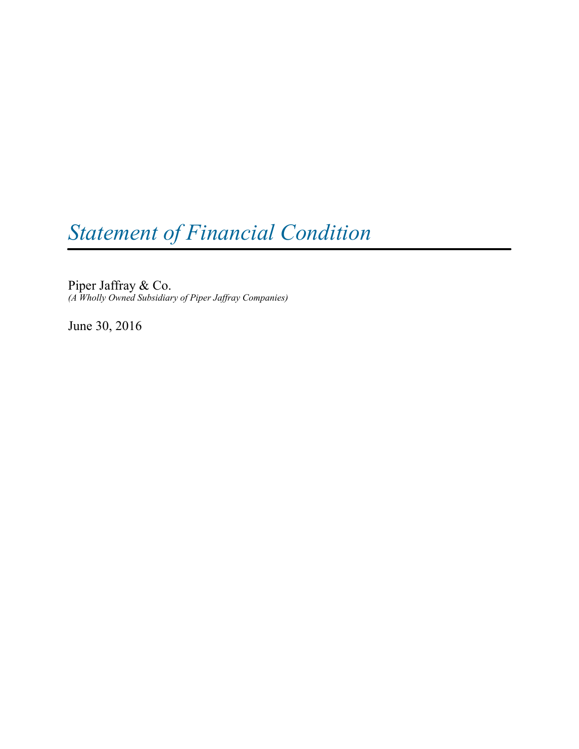# *Statement of Financial Condition*

Piper Jaffray & Co. *(A Wholly Owned Subsidiary of Piper Jaffray Companies)*

June 30, 2016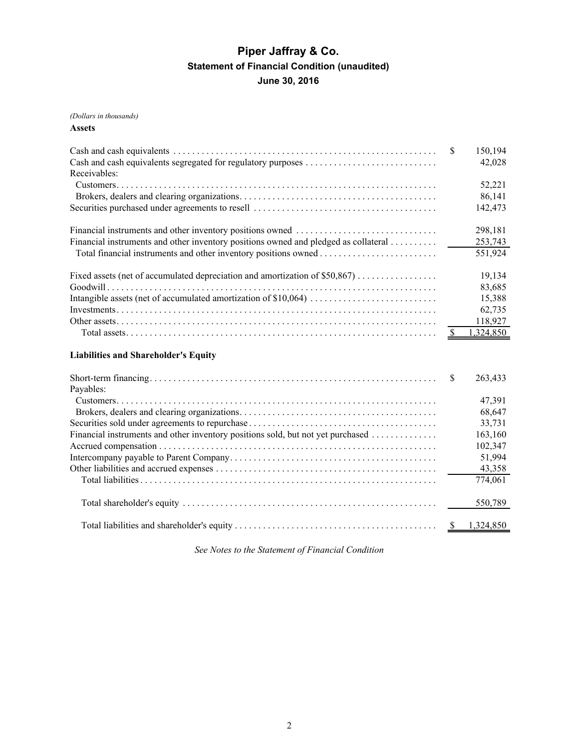# **Piper Jaffray & Co. Statement of Financial Condition (unaudited) June 30, 2016**

## *(Dollars in thousands)*

#### **Assets**

|                                                                                     | -S | 150,194<br>42,028 |
|-------------------------------------------------------------------------------------|----|-------------------|
| Receivables:                                                                        |    |                   |
|                                                                                     |    | 52,221            |
|                                                                                     |    | 86,141            |
|                                                                                     |    | 142,473           |
|                                                                                     |    | 298,181           |
| Financial instruments and other inventory positions owned and pledged as collateral |    | 253,743           |
|                                                                                     |    | 551,924           |
|                                                                                     |    | 19,134            |
|                                                                                     |    | 83,685            |
|                                                                                     |    | 15,388            |
|                                                                                     |    | 62,735            |
|                                                                                     |    | 118,927           |
|                                                                                     |    | 1,324,850         |
| <b>Liabilities and Shareholder's Equity</b>                                         |    |                   |
|                                                                                     |    | 263.433           |

| <u>DIIOIt toinii muutompaaliseen eestä esimeessa seen alkoiseen maailmassa oli oli oli saarista oli seen oli se</u> |         |
|---------------------------------------------------------------------------------------------------------------------|---------|
| Payables:                                                                                                           |         |
|                                                                                                                     | 47,391  |
|                                                                                                                     | 68,647  |
|                                                                                                                     | 33,731  |
| Financial instruments and other inventory positions sold, but not yet purchased                                     | 163,160 |
|                                                                                                                     | 102,347 |
|                                                                                                                     | 51,994  |
|                                                                                                                     | 43,358  |
|                                                                                                                     | 774,061 |
|                                                                                                                     | 550,789 |
|                                                                                                                     |         |
|                                                                                                                     |         |

*See Notes to the Statement of Financial Condition*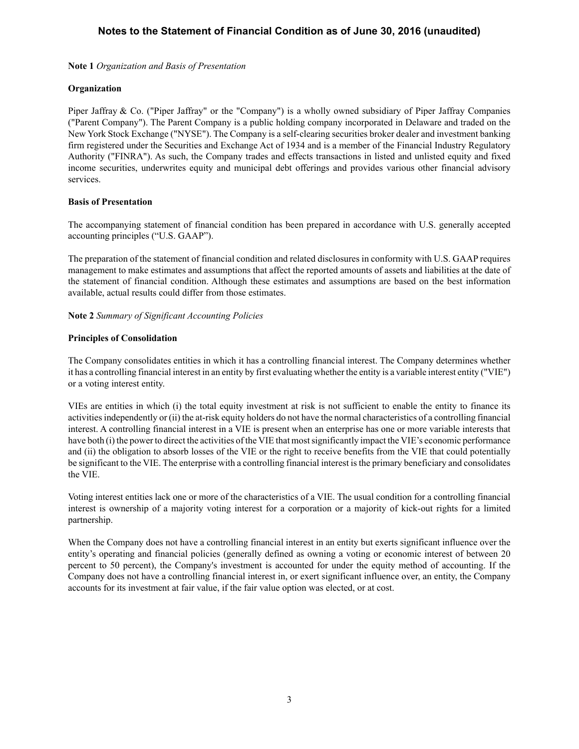**Note 1** *Organization and Basis of Presentation*

## **Organization**

Piper Jaffray & Co. ("Piper Jaffray" or the "Company") is a wholly owned subsidiary of Piper Jaffray Companies ("Parent Company"). The Parent Company is a public holding company incorporated in Delaware and traded on the New York Stock Exchange ("NYSE"). The Company is a self-clearing securities broker dealer and investment banking firm registered under the Securities and Exchange Act of 1934 and is a member of the Financial Industry Regulatory Authority ("FINRA"). As such, the Company trades and effects transactions in listed and unlisted equity and fixed income securities, underwrites equity and municipal debt offerings and provides various other financial advisory services.

## **Basis of Presentation**

The accompanying statement of financial condition has been prepared in accordance with U.S. generally accepted accounting principles ("U.S. GAAP").

The preparation of the statement of financial condition and related disclosures in conformity with U.S. GAAPrequires management to make estimates and assumptions that affect the reported amounts of assets and liabilities at the date of the statement of financial condition. Although these estimates and assumptions are based on the best information available, actual results could differ from those estimates.

## **Note 2** *Summary of Significant Accounting Policies*

## **Principles of Consolidation**

The Company consolidates entities in which it has a controlling financial interest. The Company determines whether it has a controlling financial interest in an entity by first evaluating whether the entity is a variable interest entity ("VIE") or a voting interest entity.

VIEs are entities in which (i) the total equity investment at risk is not sufficient to enable the entity to finance its activities independently or (ii) the at-risk equity holders do not have the normal characteristics of a controlling financial interest. A controlling financial interest in a VIE is present when an enterprise has one or more variable interests that have both (i) the power to direct the activities of the VIE that most significantly impact the VIE's economic performance and (ii) the obligation to absorb losses of the VIE or the right to receive benefits from the VIE that could potentially be significant to the VIE. The enterprise with a controlling financial interest is the primary beneficiary and consolidates the VIE.

Voting interest entities lack one or more of the characteristics of a VIE. The usual condition for a controlling financial interest is ownership of a majority voting interest for a corporation or a majority of kick-out rights for a limited partnership.

When the Company does not have a controlling financial interest in an entity but exerts significant influence over the entity's operating and financial policies (generally defined as owning a voting or economic interest of between 20 percent to 50 percent), the Company's investment is accounted for under the equity method of accounting. If the Company does not have a controlling financial interest in, or exert significant influence over, an entity, the Company accounts for its investment at fair value, if the fair value option was elected, or at cost.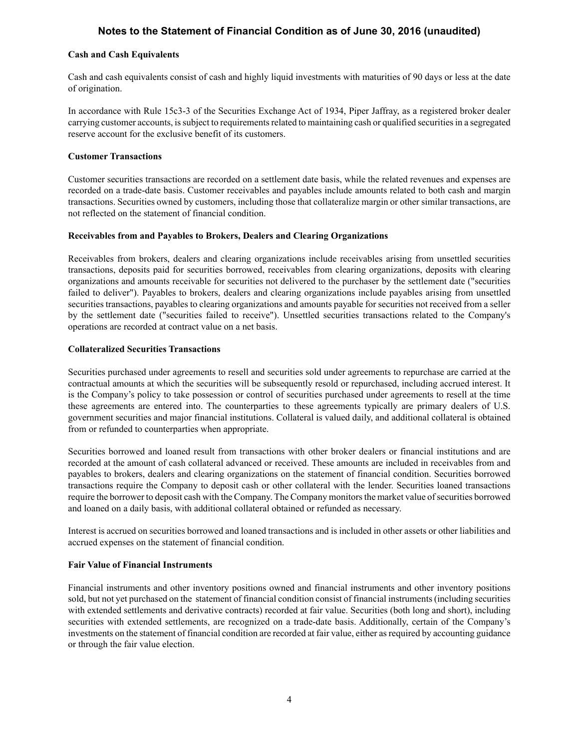## **Cash and Cash Equivalents**

Cash and cash equivalents consist of cash and highly liquid investments with maturities of 90 days or less at the date of origination.

In accordance with Rule 15c3-3 of the Securities Exchange Act of 1934, Piper Jaffray, as a registered broker dealer carrying customer accounts, is subject to requirements related to maintaining cash or qualified securities in a segregated reserve account for the exclusive benefit of its customers.

## **Customer Transactions**

Customer securities transactions are recorded on a settlement date basis, while the related revenues and expenses are recorded on a trade-date basis. Customer receivables and payables include amounts related to both cash and margin transactions. Securities owned by customers, including those that collateralize margin or other similar transactions, are not reflected on the statement of financial condition.

## **Receivables from and Payables to Brokers, Dealers and Clearing Organizations**

Receivables from brokers, dealers and clearing organizations include receivables arising from unsettled securities transactions, deposits paid for securities borrowed, receivables from clearing organizations, deposits with clearing organizations and amounts receivable for securities not delivered to the purchaser by the settlement date ("securities failed to deliver"). Payables to brokers, dealers and clearing organizations include payables arising from unsettled securities transactions, payables to clearing organizations and amounts payable for securities not received from a seller by the settlement date ("securities failed to receive"). Unsettled securities transactions related to the Company's operations are recorded at contract value on a net basis.

#### **Collateralized Securities Transactions**

Securities purchased under agreements to resell and securities sold under agreements to repurchase are carried at the contractual amounts at which the securities will be subsequently resold or repurchased, including accrued interest. It is the Company's policy to take possession or control of securities purchased under agreements to resell at the time these agreements are entered into. The counterparties to these agreements typically are primary dealers of U.S. government securities and major financial institutions. Collateral is valued daily, and additional collateral is obtained from or refunded to counterparties when appropriate.

Securities borrowed and loaned result from transactions with other broker dealers or financial institutions and are recorded at the amount of cash collateral advanced or received. These amounts are included in receivables from and payables to brokers, dealers and clearing organizations on the statement of financial condition. Securities borrowed transactions require the Company to deposit cash or other collateral with the lender. Securities loaned transactions require the borrower to deposit cash with the Company. The Company monitors the market value of securities borrowed and loaned on a daily basis, with additional collateral obtained or refunded as necessary.

Interest is accrued on securities borrowed and loaned transactions and is included in other assets or other liabilities and accrued expenses on the statement of financial condition.

## **Fair Value of Financial Instruments**

Financial instruments and other inventory positions owned and financial instruments and other inventory positions sold, but not yet purchased on the statement of financial condition consist of financial instruments (including securities with extended settlements and derivative contracts) recorded at fair value. Securities (both long and short), including securities with extended settlements, are recognized on a trade-date basis. Additionally, certain of the Company's investments on the statement of financial condition are recorded at fair value, either as required by accounting guidance or through the fair value election.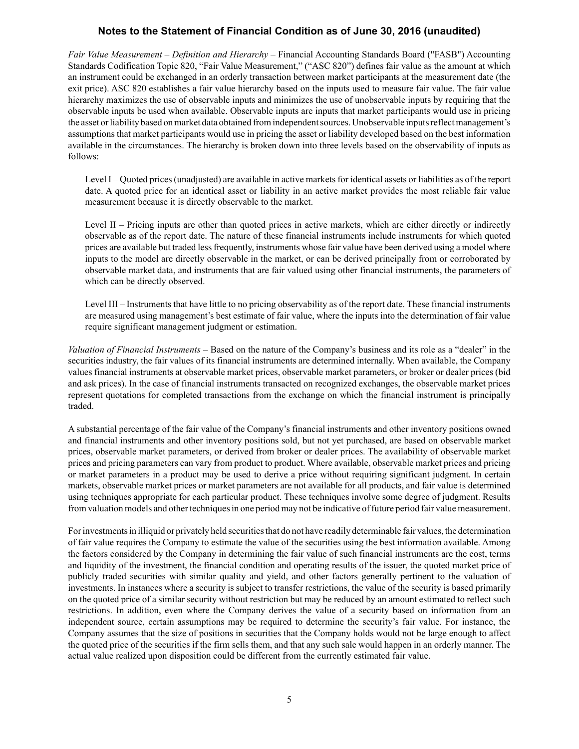*Fair Value Measurement* – *Definition and Hierarchy* – Financial Accounting Standards Board ("FASB") Accounting Standards Codification Topic 820, "Fair Value Measurement," ("ASC 820") defines fair value as the amount at which an instrument could be exchanged in an orderly transaction between market participants at the measurement date (the exit price). ASC 820 establishes a fair value hierarchy based on the inputs used to measure fair value. The fair value hierarchy maximizes the use of observable inputs and minimizes the use of unobservable inputs by requiring that the observable inputs be used when available. Observable inputs are inputs that market participants would use in pricing the asset or liability based on market data obtained from independent sources. Unobservable inputs reflect management's assumptions that market participants would use in pricing the asset or liability developed based on the best information available in the circumstances. The hierarchy is broken down into three levels based on the observability of inputs as follows:

Level I – Quoted prices (unadjusted) are available in active markets for identical assets or liabilities as of the report date. A quoted price for an identical asset or liability in an active market provides the most reliable fair value measurement because it is directly observable to the market.

Level II – Pricing inputs are other than quoted prices in active markets, which are either directly or indirectly observable as of the report date. The nature of these financial instruments include instruments for which quoted prices are available but traded less frequently, instruments whose fair value have been derived using a model where inputs to the model are directly observable in the market, or can be derived principally from or corroborated by observable market data, and instruments that are fair valued using other financial instruments, the parameters of which can be directly observed.

Level III – Instruments that have little to no pricing observability as of the report date. These financial instruments are measured using management's best estimate of fair value, where the inputs into the determination of fair value require significant management judgment or estimation.

*Valuation of Financial Instruments* – Based on the nature of the Company's business and its role as a "dealer" in the securities industry, the fair values of its financial instruments are determined internally. When available, the Company values financial instruments at observable market prices, observable market parameters, or broker or dealer prices (bid and ask prices). In the case of financial instruments transacted on recognized exchanges, the observable market prices represent quotations for completed transactions from the exchange on which the financial instrument is principally traded.

A substantial percentage of the fair value of the Company's financial instruments and other inventory positions owned and financial instruments and other inventory positions sold, but not yet purchased, are based on observable market prices, observable market parameters, or derived from broker or dealer prices. The availability of observable market prices and pricing parameters can vary from product to product. Where available, observable market prices and pricing or market parameters in a product may be used to derive a price without requiring significant judgment. In certain markets, observable market prices or market parameters are not available for all products, and fair value is determined using techniques appropriate for each particular product. These techniques involve some degree of judgment. Results from valuation models and other techniques in one period may not be indicative of future period fair value measurement.

For investments in illiquid or privately held securities that do not have readily determinable fair values, the determination of fair value requires the Company to estimate the value of the securities using the best information available. Among the factors considered by the Company in determining the fair value of such financial instruments are the cost, terms and liquidity of the investment, the financial condition and operating results of the issuer, the quoted market price of publicly traded securities with similar quality and yield, and other factors generally pertinent to the valuation of investments. In instances where a security is subject to transfer restrictions, the value of the security is based primarily on the quoted price of a similar security without restriction but may be reduced by an amount estimated to reflect such restrictions. In addition, even where the Company derives the value of a security based on information from an independent source, certain assumptions may be required to determine the security's fair value. For instance, the Company assumes that the size of positions in securities that the Company holds would not be large enough to affect the quoted price of the securities if the firm sells them, and that any such sale would happen in an orderly manner. The actual value realized upon disposition could be different from the currently estimated fair value.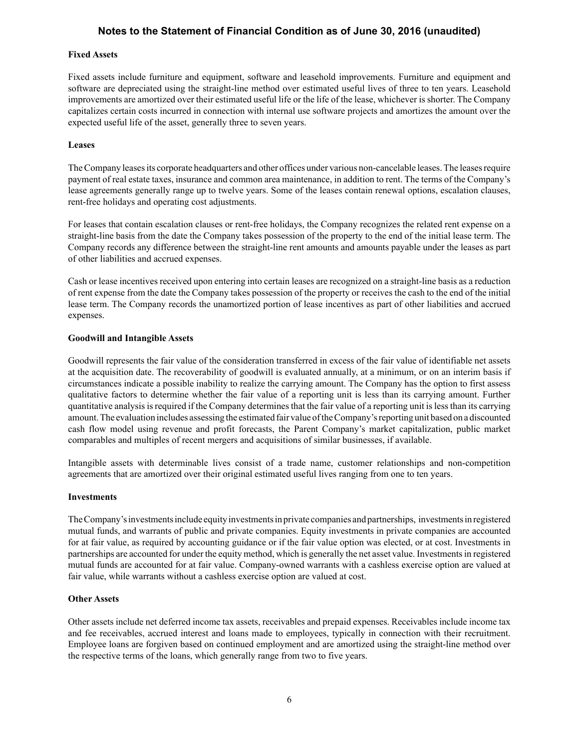#### **Fixed Assets**

Fixed assets include furniture and equipment, software and leasehold improvements. Furniture and equipment and software are depreciated using the straight-line method over estimated useful lives of three to ten years. Leasehold improvements are amortized over their estimated useful life or the life of the lease, whichever is shorter. The Company capitalizes certain costs incurred in connection with internal use software projects and amortizes the amount over the expected useful life of the asset, generally three to seven years.

#### **Leases**

The Company leases its corporate headquarters and other offices under various non-cancelable leases. The leases require payment of real estate taxes, insurance and common area maintenance, in addition to rent. The terms of the Company's lease agreements generally range up to twelve years. Some of the leases contain renewal options, escalation clauses, rent-free holidays and operating cost adjustments.

For leases that contain escalation clauses or rent-free holidays, the Company recognizes the related rent expense on a straight-line basis from the date the Company takes possession of the property to the end of the initial lease term. The Company records any difference between the straight-line rent amounts and amounts payable under the leases as part of other liabilities and accrued expenses.

Cash or lease incentives received upon entering into certain leases are recognized on a straight-line basis as a reduction of rent expense from the date the Company takes possession of the property or receives the cash to the end of the initial lease term. The Company records the unamortized portion of lease incentives as part of other liabilities and accrued expenses.

## **Goodwill and Intangible Assets**

Goodwill represents the fair value of the consideration transferred in excess of the fair value of identifiable net assets at the acquisition date. The recoverability of goodwill is evaluated annually, at a minimum, or on an interim basis if circumstances indicate a possible inability to realize the carrying amount. The Company has the option to first assess qualitative factors to determine whether the fair value of a reporting unit is less than its carrying amount. Further quantitative analysis is required if the Company determines that the fair value of a reporting unit is less than its carrying amount. The evaluation includes assessing the estimated fair value of the Company's reporting unit based on a discounted cash flow model using revenue and profit forecasts, the Parent Company's market capitalization, public market comparables and multiples of recent mergers and acquisitions of similar businesses, if available.

Intangible assets with determinable lives consist of a trade name, customer relationships and non-competition agreements that are amortized over their original estimated useful lives ranging from one to ten years.

#### **Investments**

The Company's investments include equity investments in private companies and partnerships, investments in registered mutual funds, and warrants of public and private companies. Equity investments in private companies are accounted for at fair value, as required by accounting guidance or if the fair value option was elected, or at cost. Investments in partnerships are accounted for under the equity method, which is generally the net asset value. Investments in registered mutual funds are accounted for at fair value. Company-owned warrants with a cashless exercise option are valued at fair value, while warrants without a cashless exercise option are valued at cost.

#### **Other Assets**

Other assets include net deferred income tax assets, receivables and prepaid expenses. Receivables include income tax and fee receivables, accrued interest and loans made to employees, typically in connection with their recruitment. Employee loans are forgiven based on continued employment and are amortized using the straight-line method over the respective terms of the loans, which generally range from two to five years.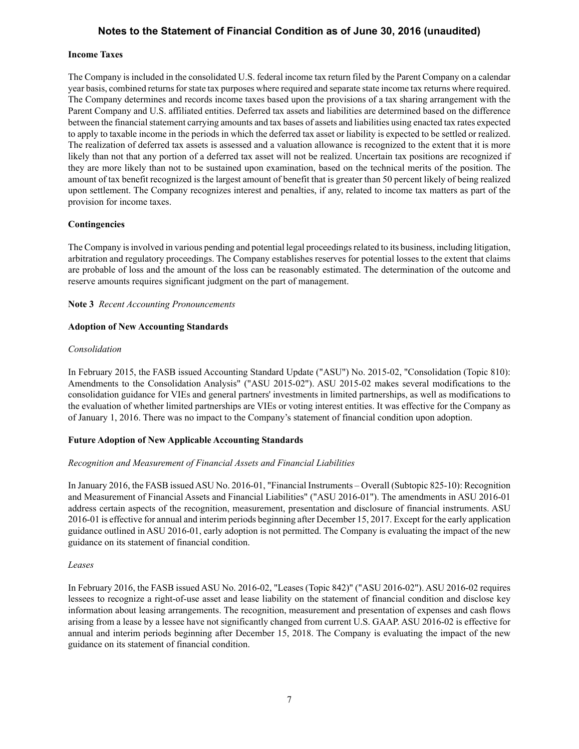#### **Income Taxes**

The Company is included in the consolidated U.S. federal income tax return filed by the Parent Company on a calendar year basis, combined returns for state tax purposes where required and separate state income tax returns where required. The Company determines and records income taxes based upon the provisions of a tax sharing arrangement with the Parent Company and U.S. affiliated entities. Deferred tax assets and liabilities are determined based on the difference between the financial statement carrying amounts and tax bases of assets and liabilities using enacted tax rates expected to apply to taxable income in the periods in which the deferred tax asset or liability is expected to be settled or realized. The realization of deferred tax assets is assessed and a valuation allowance is recognized to the extent that it is more likely than not that any portion of a deferred tax asset will not be realized. Uncertain tax positions are recognized if they are more likely than not to be sustained upon examination, based on the technical merits of the position. The amount of tax benefit recognized is the largest amount of benefit that is greater than 50 percent likely of being realized upon settlement. The Company recognizes interest and penalties, if any, related to income tax matters as part of the provision for income taxes.

#### **Contingencies**

The Company is involved in various pending and potential legal proceedings related to its business, including litigation, arbitration and regulatory proceedings. The Company establishes reserves for potential losses to the extent that claims are probable of loss and the amount of the loss can be reasonably estimated. The determination of the outcome and reserve amounts requires significant judgment on the part of management.

#### **Note 3** *Recent Accounting Pronouncements*

#### **Adoption of New Accounting Standards**

#### *Consolidation*

In February 2015, the FASB issued Accounting Standard Update ("ASU") No. 2015-02, "Consolidation (Topic 810): Amendments to the Consolidation Analysis" ("ASU 2015-02"). ASU 2015-02 makes several modifications to the consolidation guidance for VIEs and general partners' investments in limited partnerships, as well as modifications to the evaluation of whether limited partnerships are VIEs or voting interest entities. It was effective for the Company as of January 1, 2016. There was no impact to the Company's statement of financial condition upon adoption.

## **Future Adoption of New Applicable Accounting Standards**

#### *Recognition and Measurement of Financial Assets and Financial Liabilities*

In January 2016, the FASB issued ASU No. 2016-01, "Financial Instruments – Overall (Subtopic 825-10): Recognition and Measurement of Financial Assets and Financial Liabilities" ("ASU 2016-01"). The amendments in ASU 2016-01 address certain aspects of the recognition, measurement, presentation and disclosure of financial instruments. ASU 2016-01 is effective for annual and interim periods beginning after December 15, 2017. Except for the early application guidance outlined in ASU 2016-01, early adoption is not permitted. The Company is evaluating the impact of the new guidance on its statement of financial condition.

#### *Leases*

In February 2016, the FASB issued ASU No. 2016-02, "Leases (Topic 842)" ("ASU 2016-02"). ASU 2016-02 requires lessees to recognize a right-of-use asset and lease liability on the statement of financial condition and disclose key information about leasing arrangements. The recognition, measurement and presentation of expenses and cash flows arising from a lease by a lessee have not significantly changed from current U.S. GAAP. ASU 2016-02 is effective for annual and interim periods beginning after December 15, 2018. The Company is evaluating the impact of the new guidance on its statement of financial condition.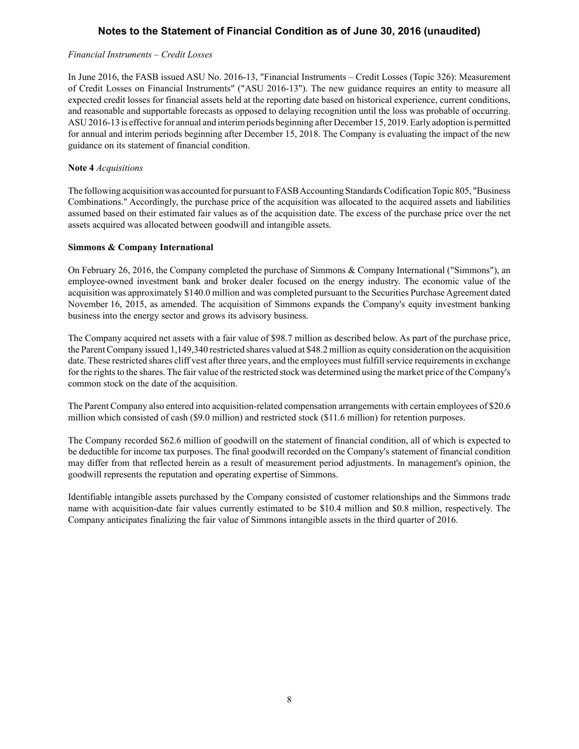#### *Financial Instruments* – *Credit Losses*

In June 2016, the FASB issued ASU No. 2016-13, "Financial Instruments – Credit Losses (Topic 326): Measurement of Credit Losses on Financial Instruments" ("ASU 2016-13"). The new guidance requires an entity to measure all expected credit losses for financial assets held at the reporting date based on historical experience, current conditions, and reasonable and supportable forecasts as opposed to delaying recognition until the loss was probable of occurring. ASU 2016-13 is effective for annual and interim periods beginning after December 15, 2019. Early adoption is permitted for annual and interim periods beginning after December 15, 2018. The Company is evaluating the impact of the new guidance on its statement of financial condition.

#### **Note 4** *Acquisitions*

The following acquisition was accounted for pursuant to FASB Accounting Standards Codification Topic 805, "Business Combinations." Accordingly, the purchase price of the acquisition was allocated to the acquired assets and liabilities assumed based on their estimated fair values as of the acquisition date. The excess of the purchase price over the net assets acquired was allocated between goodwill and intangible assets.

## **Simmons & Company International**

On February 26, 2016, the Company completed the purchase of Simmons & Company International ("Simmons"), an employee-owned investment bank and broker dealer focused on the energy industry. The economic value of the acquisition was approximately \$140.0 million and was completed pursuant to the Securities Purchase Agreement dated November 16, 2015, as amended. The acquisition of Simmons expands the Company's equity investment banking business into the energy sector and grows its advisory business.

The Company acquired net assets with a fair value of \$98.7 million as described below. As part of the purchase price, the Parent Company issued 1,149,340 restricted shares valued at \$48.2 million as equity consideration on the acquisition date. These restricted shares cliff vest after three years, and the employees must fulfill service requirements in exchange for the rights to the shares. The fair value of the restricted stock was determined using the market price of the Company's common stock on the date of the acquisition.

The Parent Company also entered into acquisition-related compensation arrangements with certain employees of \$20.6 million which consisted of cash (\$9.0 million) and restricted stock (\$11.6 million) for retention purposes.

The Company recorded \$62.6 million of goodwill on the statement of financial condition, all of which is expected to be deductible for income tax purposes. The final goodwill recorded on the Company's statement of financial condition may differ from that reflected herein as a result of measurement period adjustments. In management's opinion, the goodwill represents the reputation and operating expertise of Simmons.

Identifiable intangible assets purchased by the Company consisted of customer relationships and the Simmons trade name with acquisition-date fair values currently estimated to be \$10.4 million and \$0.8 million, respectively. The Company anticipates finalizing the fair value of Simmons intangible assets in the third quarter of 2016.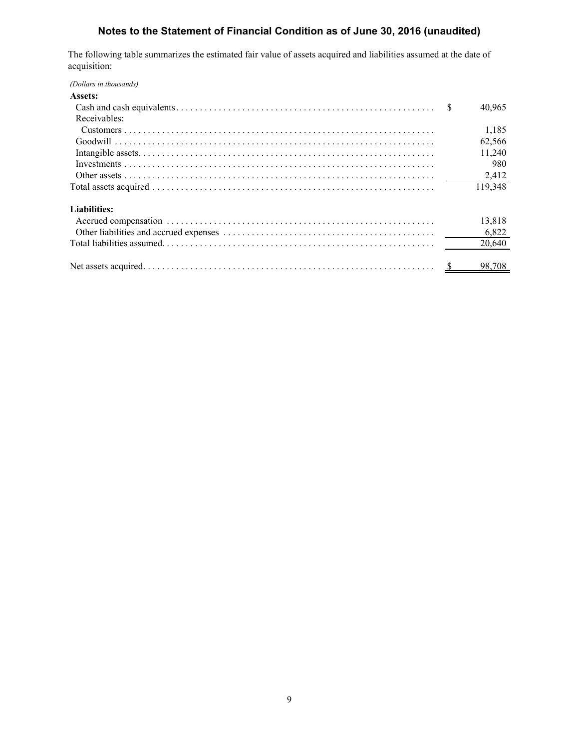The following table summarizes the estimated fair value of assets acquired and liabilities assumed at the date of acquisition:

*(Dollars in thousands)*

| Assets:      |    |                    |
|--------------|----|--------------------|
|              | -S | 40,965             |
| Receivables: |    |                    |
|              |    | 1,185              |
|              |    | 62,566             |
|              |    | 11,240             |
|              |    | 980                |
|              |    | 2,412              |
|              |    | 119,348            |
| Liabilities: |    |                    |
|              |    | 13,818             |
|              |    | 6,822              |
|              |    | 20,640             |
|              |    | $\frac{98,708}{ }$ |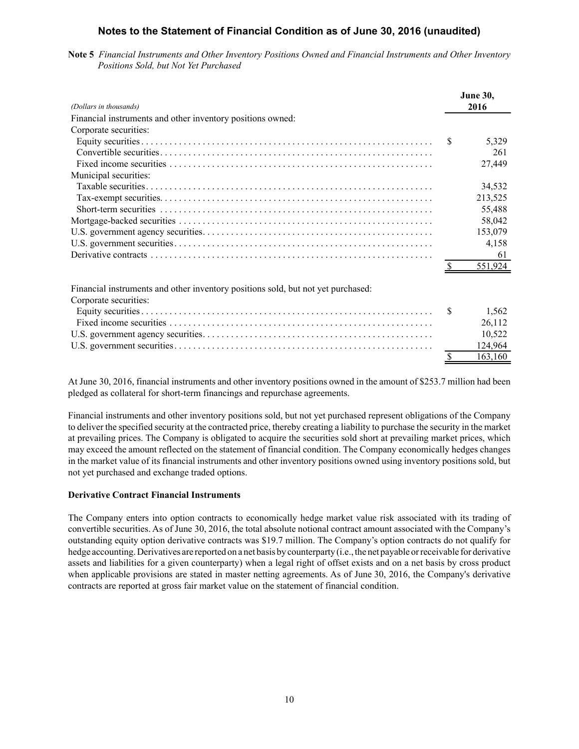**Note 5** *Financial Instruments and Other Inventory Positions Owned and Financial Instruments and Other Inventory Positions Sold, but Not Yet Purchased*

| (Dollars in thousands)                                                           |     | <b>June 30,</b><br>2016 |
|----------------------------------------------------------------------------------|-----|-------------------------|
| Financial instruments and other inventory positions owned:                       |     |                         |
| Corporate securities:                                                            |     |                         |
|                                                                                  | -S  | 5,329                   |
|                                                                                  |     | 261                     |
|                                                                                  |     | 27,449                  |
| Municipal securities:                                                            |     |                         |
|                                                                                  |     | 34,532                  |
|                                                                                  |     | 213,525                 |
|                                                                                  |     | 55,488                  |
|                                                                                  |     | 58,042                  |
|                                                                                  |     | 153,079                 |
|                                                                                  |     | 4,158                   |
|                                                                                  |     | 61                      |
|                                                                                  |     | 551,924                 |
| Financial instruments and other inventory positions sold, but not yet purchased: |     |                         |
| Corporate securities:                                                            |     |                         |
|                                                                                  | \$. | 1,562                   |
|                                                                                  |     | 26,112                  |
|                                                                                  |     | 10,522                  |
|                                                                                  |     | 124,964                 |
|                                                                                  | \$  | 163,160                 |

At June 30, 2016, financial instruments and other inventory positions owned in the amount of \$253.7 million had been pledged as collateral for short-term financings and repurchase agreements.

Financial instruments and other inventory positions sold, but not yet purchased represent obligations of the Company to deliver the specified security at the contracted price, thereby creating a liability to purchase the security in the market at prevailing prices. The Company is obligated to acquire the securities sold short at prevailing market prices, which may exceed the amount reflected on the statement of financial condition. The Company economically hedges changes in the market value of its financial instruments and other inventory positions owned using inventory positions sold, but not yet purchased and exchange traded options.

## **Derivative Contract Financial Instruments**

The Company enters into option contracts to economically hedge market value risk associated with its trading of convertible securities. As of June 30, 2016, the total absolute notional contract amount associated with the Company's outstanding equity option derivative contracts was \$19.7 million. The Company's option contracts do not qualify for hedge accounting. Derivatives are reported on a net basis by counterparty (i.e., the net payable or receivable for derivative assets and liabilities for a given counterparty) when a legal right of offset exists and on a net basis by cross product when applicable provisions are stated in master netting agreements. As of June 30, 2016, the Company's derivative contracts are reported at gross fair market value on the statement of financial condition.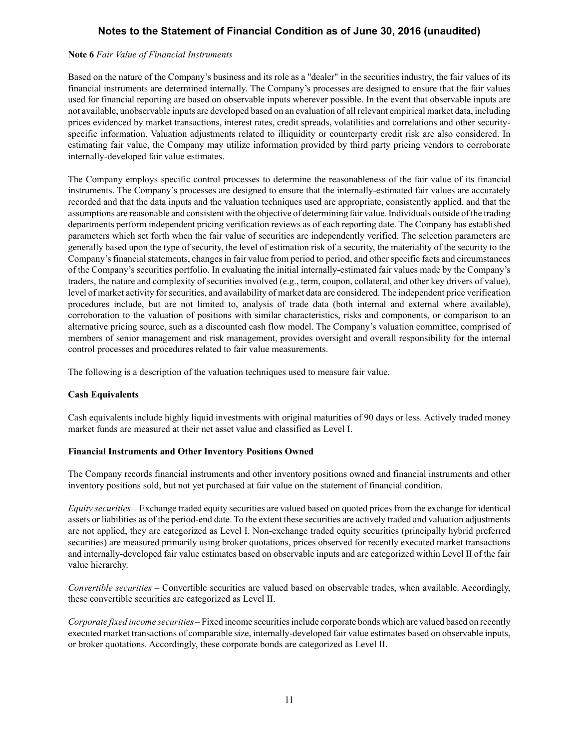#### **Note 6** *Fair Value of Financial Instruments*

Based on the nature of the Company's business and its role as a "dealer" in the securities industry, the fair values of its financial instruments are determined internally. The Company's processes are designed to ensure that the fair values used for financial reporting are based on observable inputs wherever possible. In the event that observable inputs are not available, unobservable inputs are developed based on an evaluation of all relevant empirical market data, including prices evidenced by market transactions, interest rates, credit spreads, volatilities and correlations and other securityspecific information. Valuation adjustments related to illiquidity or counterparty credit risk are also considered. In estimating fair value, the Company may utilize information provided by third party pricing vendors to corroborate internally-developed fair value estimates.

The Company employs specific control processes to determine the reasonableness of the fair value of its financial instruments. The Company's processes are designed to ensure that the internally-estimated fair values are accurately recorded and that the data inputs and the valuation techniques used are appropriate, consistently applied, and that the assumptions are reasonable and consistent with the objective of determining fair value. Individuals outside of the trading departments perform independent pricing verification reviews as of each reporting date. The Company has established parameters which set forth when the fair value of securities are independently verified. The selection parameters are generally based upon the type of security, the level of estimation risk of a security, the materiality of the security to the Company's financial statements, changes in fair value from period to period, and other specific facts and circumstances of the Company's securities portfolio. In evaluating the initial internally-estimated fair values made by the Company's traders, the nature and complexity of securities involved (e.g., term, coupon, collateral, and other key drivers of value), level of market activity for securities, and availability of market data are considered. The independent price verification procedures include, but are not limited to, analysis of trade data (both internal and external where available), corroboration to the valuation of positions with similar characteristics, risks and components, or comparison to an alternative pricing source, such as a discounted cash flow model. The Company's valuation committee, comprised of members of senior management and risk management, provides oversight and overall responsibility for the internal control processes and procedures related to fair value measurements.

The following is a description of the valuation techniques used to measure fair value.

## **Cash Equivalents**

Cash equivalents include highly liquid investments with original maturities of 90 days or less. Actively traded money market funds are measured at their net asset value and classified as Level I.

#### **Financial Instruments and Other Inventory Positions Owned**

The Company records financial instruments and other inventory positions owned and financial instruments and other inventory positions sold, but not yet purchased at fair value on the statement of financial condition.

*Equity securities –* Exchange traded equity securities are valued based on quoted prices from the exchange for identical assets or liabilities as of the period-end date. To the extent these securities are actively traded and valuation adjustments are not applied, they are categorized as Level I. Non-exchange traded equity securities (principally hybrid preferred securities) are measured primarily using broker quotations, prices observed for recently executed market transactions and internally-developed fair value estimates based on observable inputs and are categorized within Level II of the fair value hierarchy.

*Convertible securities –* Convertible securities are valued based on observable trades, when available. Accordingly, these convertible securities are categorized as Level II.

*Corporate fixed income securities –*Fixed income securities include corporate bonds which are valued based on recently executed market transactions of comparable size, internally-developed fair value estimates based on observable inputs, or broker quotations. Accordingly, these corporate bonds are categorized as Level II.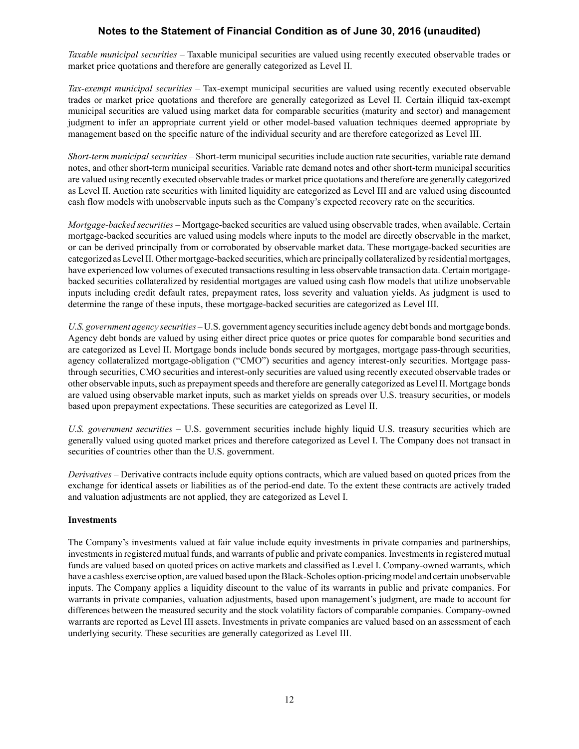*Taxable municipal securities –* Taxable municipal securities are valued using recently executed observable trades or market price quotations and therefore are generally categorized as Level II.

*Tax-exempt municipal securities –* Tax-exempt municipal securities are valued using recently executed observable trades or market price quotations and therefore are generally categorized as Level II. Certain illiquid tax-exempt municipal securities are valued using market data for comparable securities (maturity and sector) and management judgment to infer an appropriate current yield or other model-based valuation techniques deemed appropriate by management based on the specific nature of the individual security and are therefore categorized as Level III.

*Short-term municipal securities –* Short-term municipal securities include auction rate securities, variable rate demand notes, and other short-term municipal securities. Variable rate demand notes and other short-term municipal securities are valued using recently executed observable trades or market price quotations and therefore are generally categorized as Level II. Auction rate securities with limited liquidity are categorized as Level III and are valued using discounted cash flow models with unobservable inputs such as the Company's expected recovery rate on the securities.

*Mortgage-backed securities –* Mortgage-backed securities are valued using observable trades, when available. Certain mortgage-backed securities are valued using models where inputs to the model are directly observable in the market, or can be derived principally from or corroborated by observable market data. These mortgage-backed securities are categorized as Level II. Other mortgage-backed securities, which are principally collateralized by residential mortgages, have experienced low volumes of executed transactions resulting in less observable transaction data. Certain mortgagebacked securities collateralized by residential mortgages are valued using cash flow models that utilize unobservable inputs including credit default rates, prepayment rates, loss severity and valuation yields. As judgment is used to determine the range of these inputs, these mortgage-backed securities are categorized as Level III.

*U.S. government agency securities –* U.S. government agency securities include agency debt bonds and mortgage bonds. Agency debt bonds are valued by using either direct price quotes or price quotes for comparable bond securities and are categorized as Level II. Mortgage bonds include bonds secured by mortgages, mortgage pass-through securities, agency collateralized mortgage-obligation ("CMO") securities and agency interest-only securities. Mortgage passthrough securities, CMO securities and interest-only securities are valued using recently executed observable trades or other observable inputs, such as prepayment speeds and therefore are generally categorized as Level II. Mortgage bonds are valued using observable market inputs, such as market yields on spreads over U.S. treasury securities, or models based upon prepayment expectations. These securities are categorized as Level II.

*U.S. government securities –* U.S. government securities include highly liquid U.S. treasury securities which are generally valued using quoted market prices and therefore categorized as Level I. The Company does not transact in securities of countries other than the U.S. government.

*Derivatives –* Derivative contracts include equity options contracts, which are valued based on quoted prices from the exchange for identical assets or liabilities as of the period-end date. To the extent these contracts are actively traded and valuation adjustments are not applied, they are categorized as Level I.

## **Investments**

The Company's investments valued at fair value include equity investments in private companies and partnerships, investments in registered mutual funds, and warrants of public and private companies. Investments in registered mutual funds are valued based on quoted prices on active markets and classified as Level I. Company-owned warrants, which have a cashless exercise option, are valued based upon the Black-Scholes option-pricing model and certain unobservable inputs. The Company applies a liquidity discount to the value of its warrants in public and private companies. For warrants in private companies, valuation adjustments, based upon management's judgment, are made to account for differences between the measured security and the stock volatility factors of comparable companies. Company-owned warrants are reported as Level III assets. Investments in private companies are valued based on an assessment of each underlying security. These securities are generally categorized as Level III.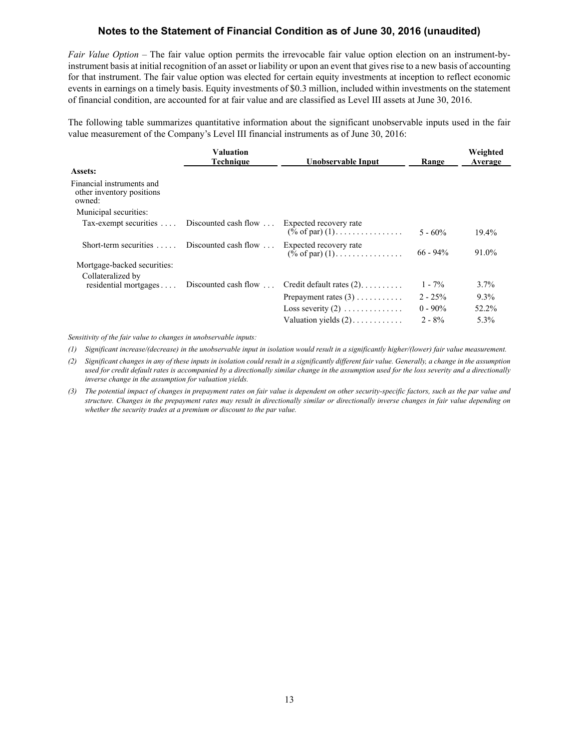*Fair Value Option –* The fair value option permits the irrevocable fair value option election on an instrument-byinstrument basis at initial recognition of an asset or liability or upon an event that gives rise to a new basis of accounting for that instrument. The fair value option was elected for certain equity investments at inception to reflect economic events in earnings on a timely basis. Equity investments of \$0.3 million, included within investments on the statement of financial condition, are accounted for at fair value and are classified as Level III assets at June 30, 2016.

The following table summarizes quantitative information about the significant unobservable inputs used in the fair value measurement of the Company's Level III financial instruments as of June 30, 2016:

|                                                                  | <b>Valuation</b><br><b>Technique</b>       | Unobservable Input                                                    | Range       | Weighted<br>Average |
|------------------------------------------------------------------|--------------------------------------------|-----------------------------------------------------------------------|-------------|---------------------|
| <b>Assets:</b>                                                   |                                            |                                                                       |             |                     |
| Financial instruments and<br>other inventory positions<br>owned: |                                            |                                                                       |             |                     |
| Municipal securities:                                            |                                            |                                                                       |             |                     |
| Tax-exempt securities  Discounted cash flow                      |                                            | Expected recovery rate<br>$(\% \text{ of par}) (1)$                   | $5 - 60\%$  | $19.4\%$            |
| Short-term securities $\dots$ Discounted cash flow $\dots$       |                                            | Expected recovery rate<br>$(\frac{\dot{\ }^{\circ}}{0}$ of par) $(1)$ | $66 - 94\%$ | 91.0%               |
| Mortgage-backed securities:                                      |                                            |                                                                       |             |                     |
| Collateralized by                                                | residential mortgages Discounted cash flow | Credit default rates $(2)$                                            | $1 - 7\%$   | $3.7\%$             |
|                                                                  |                                            | Prepayment rates $(3)$                                                | $2 - 25%$   | $9.3\%$             |
|                                                                  |                                            | Loss severity $(2)$                                                   | $0 - 90\%$  | 52.2%               |
|                                                                  |                                            | Valuation yields $(2)$                                                | $2 - 8\%$   | 5.3%                |

*Sensitivity of the fair value to changes in unobservable inputs:*

*(1) Significant increase/(decrease) in the unobservable input in isolation would result in a significantly higher/(lower) fair value measurement.*

- *(2) Significant changes in any of these inputs in isolation could result in a significantly different fair value. Generally, a change in the assumption*  used for credit default rates is accompanied by a directionally similar change in the assumption used for the loss severity and a directionally *inverse change in the assumption for valuation yields.*
- *(3) The potential impact of changes in prepayment rates on fair value is dependent on other security-specific factors, such as the par value and structure. Changes in the prepayment rates may result in directionally similar or directionally inverse changes in fair value depending on whether the security trades at a premium or discount to the par value.*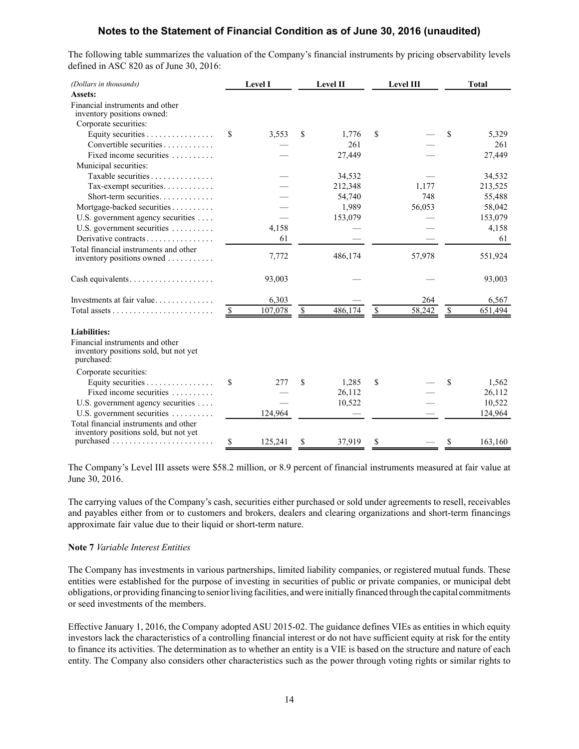The following table summarizes the valuation of the Company's financial instruments by pricing observability levels defined in ASC 820 as of June 30, 2016:

| (Dollars in thousands)                                                                 | <b>Level I</b> | Level II      | Level III    | <b>Total</b>  |
|----------------------------------------------------------------------------------------|----------------|---------------|--------------|---------------|
| Assets:                                                                                |                |               |              |               |
| Financial instruments and other<br>inventory positions owned:                          |                |               |              |               |
| Corporate securities:                                                                  |                |               |              |               |
| Equity securities $\dots \dots \dots \dots \dots$                                      | \$<br>3,553    | \$<br>1,776   | \$           | \$<br>5,329   |
| Convertible securities                                                                 |                | 261           |              | 261           |
| Fixed income securities                                                                |                | 27,449        |              | 27,449        |
| Municipal securities:                                                                  |                |               |              |               |
| Taxable securities                                                                     |                | 34,532        |              | 34,532        |
| Tax-exempt securities                                                                  |                | 212,348       | 1,177        | 213,525       |
| Short-term securities                                                                  |                | 54,740        | 748          | 55,488        |
| Mortgage-backed securities                                                             |                | 1,989         | 56,053       | 58,042        |
| U.S. government agency securities                                                      |                | 153,079       |              | 153,079       |
| U.S. government securities                                                             | 4,158          |               |              | 4,158         |
| Derivative contracts                                                                   | 61             |               |              | 61            |
| Total financial instruments and other                                                  |                |               |              |               |
| inventory positions owned                                                              | 7,772          | 486,174       | 57,978       | 551,924       |
|                                                                                        | 93,003         |               |              | 93,003        |
| Investments at fair value                                                              | 6,303          |               | 264          | 6,567         |
|                                                                                        | \$<br>107,078  | \$<br>486,174 | \$<br>58,242 | \$<br>651,494 |
| <b>Liabilities:</b>                                                                    |                |               |              |               |
| Financial instruments and other<br>inventory positions sold, but not yet<br>purchased: |                |               |              |               |
| Corporate securities:                                                                  |                |               |              |               |
| Equity securities                                                                      | \$<br>277      | \$<br>1,285   | \$           | \$<br>1,562   |
| Fixed income securities                                                                |                | 26,112        |              | 26,112        |
| U.S. government agency securities                                                      |                | 10,522        |              | 10,522        |
| U.S. government securities                                                             | 124,964        |               |              | 124,964       |
| Total financial instruments and other                                                  |                |               |              |               |
| inventory positions sold, but not yet                                                  |                |               |              |               |
|                                                                                        | \$<br>125,241  | \$<br>37,919  | \$           | \$<br>163,160 |

The Company's Level III assets were \$58.2 million, or 8.9 percent of financial instruments measured at fair value at June 30, 2016.

The carrying values of the Company's cash, securities either purchased or sold under agreements to resell, receivables and payables either from or to customers and brokers, dealers and clearing organizations and short-term financings approximate fair value due to their liquid or short-term nature.

#### **Note 7** *Variable Interest Entities*

The Company has investments in various partnerships, limited liability companies, or registered mutual funds. These entities were established for the purpose of investing in securities of public or private companies, or municipal debt obligations, or providing financing to senior living facilities, and were initially financed through the capital commitments or seed investments of the members.

Effective January 1, 2016, the Company adopted ASU 2015-02. The guidance defines VIEs as entities in which equity investors lack the characteristics of a controlling financial interest or do not have sufficient equity at risk for the entity to finance its activities. The determination as to whether an entity is a VIE is based on the structure and nature of each entity. The Company also considers other characteristics such as the power through voting rights or similar rights to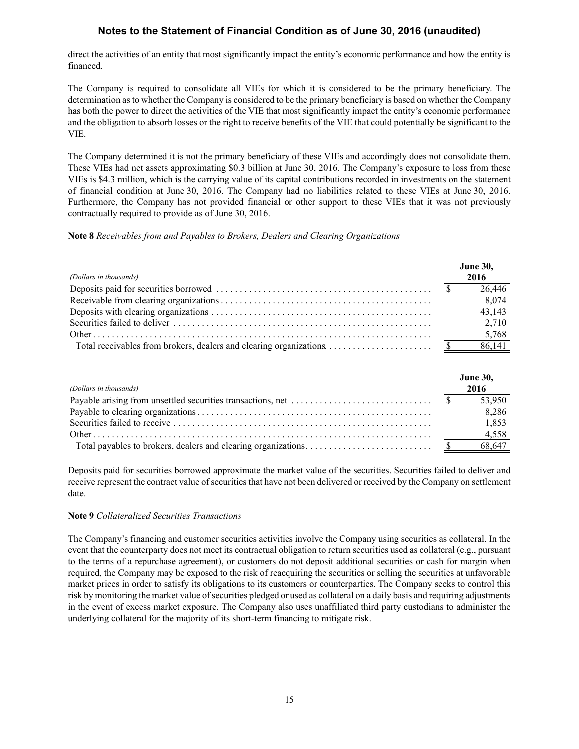direct the activities of an entity that most significantly impact the entity's economic performance and how the entity is financed.

The Company is required to consolidate all VIEs for which it is considered to be the primary beneficiary. The determination as to whether the Company is considered to be the primary beneficiary is based on whether the Company has both the power to direct the activities of the VIE that most significantly impact the entity's economic performance and the obligation to absorb losses or the right to receive benefits of the VIE that could potentially be significant to the VIE.

The Company determined it is not the primary beneficiary of these VIEs and accordingly does not consolidate them. These VIEs had net assets approximating \$0.3 billion at June 30, 2016. The Company's exposure to loss from these VIEs is \$4.3 million, which is the carrying value of its capital contributions recorded in investments on the statement of financial condition at June 30, 2016. The Company had no liabilities related to these VIEs at June 30, 2016. Furthermore, the Company has not provided financial or other support to these VIEs that it was not previously contractually required to provide as of June 30, 2016.

## **Note 8** *Receivables from and Payables to Brokers, Dealers and Clearing Organizations*

|                        | <b>June 30,</b> |
|------------------------|-----------------|
| (Dollars in thousands) | 2016            |
|                        | 26,446          |
|                        | 8,074           |
|                        | 43.143          |
|                        | 2.710           |
|                        | 5,768           |
|                        |                 |

| (Dollars in thousands)                                                                                  | <b>June 30,</b><br>2016 |
|---------------------------------------------------------------------------------------------------------|-------------------------|
| Payable arising from unsettled securities transactions, net $\dots \dots \dots \dots \dots \dots \dots$ | 53.950                  |
|                                                                                                         | 8,286                   |
|                                                                                                         | 1,853                   |
|                                                                                                         | 4,558                   |
|                                                                                                         | 68,647                  |

Deposits paid for securities borrowed approximate the market value of the securities. Securities failed to deliver and receive represent the contract value of securities that have not been delivered or received by the Company on settlement date.

## **Note 9** *Collateralized Securities Transactions*

The Company's financing and customer securities activities involve the Company using securities as collateral. In the event that the counterparty does not meet its contractual obligation to return securities used as collateral (e.g., pursuant to the terms of a repurchase agreement), or customers do not deposit additional securities or cash for margin when required, the Company may be exposed to the risk of reacquiring the securities or selling the securities at unfavorable market prices in order to satisfy its obligations to its customers or counterparties. The Company seeks to control this risk by monitoring the market value of securities pledged or used as collateral on a daily basis and requiring adjustments in the event of excess market exposure. The Company also uses unaffiliated third party custodians to administer the underlying collateral for the majority of its short-term financing to mitigate risk.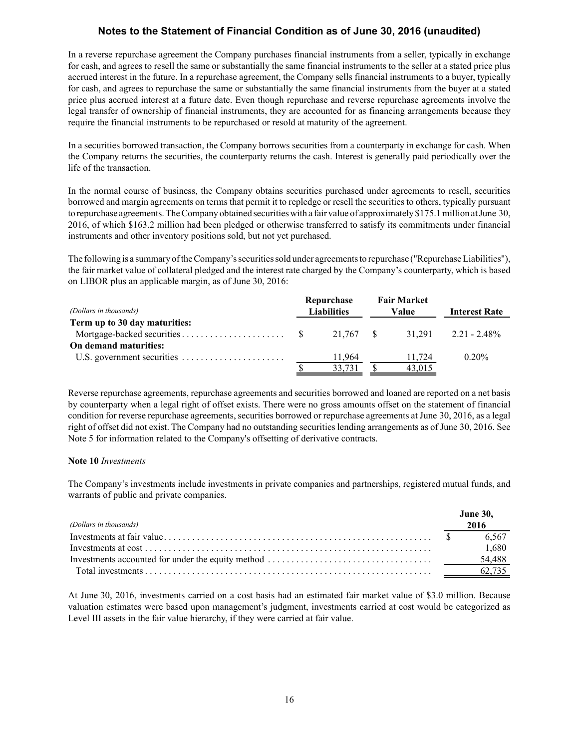In a reverse repurchase agreement the Company purchases financial instruments from a seller, typically in exchange for cash, and agrees to resell the same or substantially the same financial instruments to the seller at a stated price plus accrued interest in the future. In a repurchase agreement, the Company sells financial instruments to a buyer, typically for cash, and agrees to repurchase the same or substantially the same financial instruments from the buyer at a stated price plus accrued interest at a future date. Even though repurchase and reverse repurchase agreements involve the legal transfer of ownership of financial instruments, they are accounted for as financing arrangements because they require the financial instruments to be repurchased or resold at maturity of the agreement.

In a securities borrowed transaction, the Company borrows securities from a counterparty in exchange for cash. When the Company returns the securities, the counterparty returns the cash. Interest is generally paid periodically over the life of the transaction.

In the normal course of business, the Company obtains securities purchased under agreements to resell, securities borrowed and margin agreements on terms that permit it to repledge or resell the securities to others, typically pursuant to repurchase agreements. The Company obtained securities with a fair value of approximately \$175.1 million at June 30, 2016, of which \$163.2 million had been pledged or otherwise transferred to satisfy its commitments under financial instruments and other inventory positions sold, but not yet purchased.

The following is a summary of the Company's securities sold under agreements to repurchase ("Repurchase Liabilities"), the fair market value of collateral pledged and the interest rate charged by the Company's counterparty, which is based on LIBOR plus an applicable margin, as of June 30, 2016:

| (Dollars in thousands)        |  | Repurchase<br><b>Liabilities</b> |  |        |                          | <b>Fair Market</b><br>Value | <b>Interest Rate</b> |
|-------------------------------|--|----------------------------------|--|--------|--------------------------|-----------------------------|----------------------|
| Term up to 30 day maturities: |  |                                  |  |        |                          |                             |                      |
|                               |  | 21.767 \$                        |  |        | $31.291$ $2.21 - 2.48\%$ |                             |                      |
| On demand maturities:         |  |                                  |  |        |                          |                             |                      |
|                               |  | 11.964                           |  | 11.724 | $0.20\%$                 |                             |                      |
|                               |  | 33,731                           |  | 43.015 |                          |                             |                      |

Reverse repurchase agreements, repurchase agreements and securities borrowed and loaned are reported on a net basis by counterparty when a legal right of offset exists. There were no gross amounts offset on the statement of financial condition for reverse repurchase agreements, securities borrowed or repurchase agreements at June 30, 2016, as a legal right of offset did not exist. The Company had no outstanding securities lending arrangements as of June 30, 2016. See Note 5 for information related to the Company's offsetting of derivative contracts.

## **Note 10** *Investments*

The Company's investments include investments in private companies and partnerships, registered mutual funds, and warrants of public and private companies.

| (Dollars in thousands) | <b>June 30,</b><br>2016 |
|------------------------|-------------------------|
|                        |                         |
|                        | 6.567                   |
|                        | 1,680                   |
|                        | 54,488                  |
|                        | 62.735                  |

At June 30, 2016, investments carried on a cost basis had an estimated fair market value of \$3.0 million. Because valuation estimates were based upon management's judgment, investments carried at cost would be categorized as Level III assets in the fair value hierarchy, if they were carried at fair value.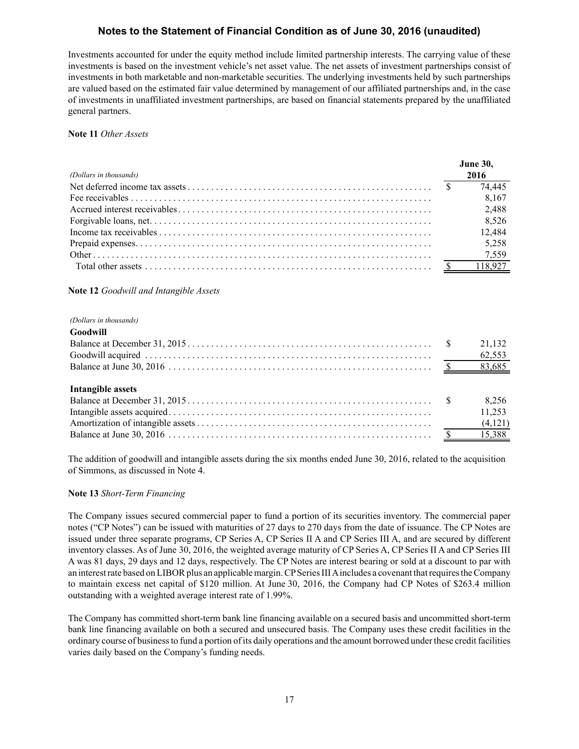Investments accounted for under the equity method include limited partnership interests. The carrying value of these investments is based on the investment vehicle's net asset value. The net assets of investment partnerships consist of investments in both marketable and non-marketable securities. The underlying investments held by such partnerships are valued based on the estimated fair value determined by management of our affiliated partnerships and, in the case of investments in unaffiliated investment partnerships, are based on financial statements prepared by the unaffiliated general partners.

## **Note 11** *Other Assets*

|                        | <b>June 30,</b> |
|------------------------|-----------------|
| (Dollars in thousands) | 2016            |
|                        | 74,445          |
|                        | 8,167           |
|                        | 2,488           |
|                        | 8,526           |
|                        | 12,484          |
|                        | 5,258           |
|                        |                 |
|                        |                 |

## **Note 12** *Goodwill and Intangible Assets*

#### *(Dollars in thousands)*

| Goodwill          |        |
|-------------------|--------|
|                   | 21,132 |
|                   | 62,553 |
|                   |        |
|                   |        |
| Intangible assets |        |
|                   | 8,256  |
|                   | 11,253 |
|                   |        |
|                   |        |
|                   |        |

The addition of goodwill and intangible assets during the six months ended June 30, 2016, related to the acquisition of Simmons, as discussed in Note 4.

#### **Note 13** *Short-Term Financing*

The Company issues secured commercial paper to fund a portion of its securities inventory. The commercial paper notes ("CP Notes") can be issued with maturities of 27 days to 270 days from the date of issuance. The CP Notes are issued under three separate programs, CP Series A, CP Series II A and CP Series III A, and are secured by different inventory classes. As of June 30, 2016, the weighted average maturity of CP Series A, CP Series II A and CP Series III A was 81 days, 29 days and 12 days, respectively. The CP Notes are interest bearing or sold at a discount to par with an interest rate based on LIBOR plus an applicable margin. CPSeries III Aincludes a covenant that requires the Company to maintain excess net capital of \$120 million. At June 30, 2016, the Company had CP Notes of \$263.4 million outstanding with a weighted average interest rate of 1.99%.

The Company has committed short-term bank line financing available on a secured basis and uncommitted short-term bank line financing available on both a secured and unsecured basis. The Company uses these credit facilities in the ordinary course of business to fund a portion of its daily operations and the amount borrowed under these credit facilities varies daily based on the Company's funding needs.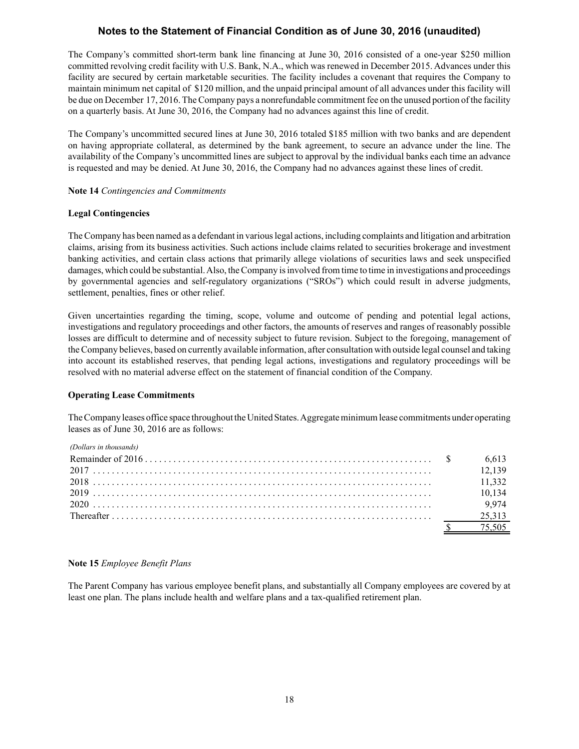The Company's committed short-term bank line financing at June 30, 2016 consisted of a one-year \$250 million committed revolving credit facility with U.S. Bank, N.A., which was renewed in December 2015. Advances under this facility are secured by certain marketable securities. The facility includes a covenant that requires the Company to maintain minimum net capital of \$120 million, and the unpaid principal amount of all advances under this facility will be due on December 17, 2016. The Company pays a nonrefundable commitment fee on the unused portion of the facility on a quarterly basis. At June 30, 2016, the Company had no advances against this line of credit.

The Company's uncommitted secured lines at June 30, 2016 totaled \$185 million with two banks and are dependent on having appropriate collateral, as determined by the bank agreement, to secure an advance under the line. The availability of the Company's uncommitted lines are subject to approval by the individual banks each time an advance is requested and may be denied. At June 30, 2016, the Company had no advances against these lines of credit.

## **Note 14** *Contingencies and Commitments*

## **Legal Contingencies**

The Company has been named as a defendant in various legal actions, including complaints and litigation and arbitration claims, arising from its business activities. Such actions include claims related to securities brokerage and investment banking activities, and certain class actions that primarily allege violations of securities laws and seek unspecified damages, which could be substantial. Also, the Company is involved from time to time in investigations and proceedings by governmental agencies and self-regulatory organizations ("SROs") which could result in adverse judgments, settlement, penalties, fines or other relief.

Given uncertainties regarding the timing, scope, volume and outcome of pending and potential legal actions, investigations and regulatory proceedings and other factors, the amounts of reserves and ranges of reasonably possible losses are difficult to determine and of necessity subject to future revision. Subject to the foregoing, management of the Company believes, based on currently available information, after consultation with outside legal counsel and taking into account its established reserves, that pending legal actions, investigations and regulatory proceedings will be resolved with no material adverse effect on the statement of financial condition of the Company.

## **Operating Lease Commitments**

The Company leases office space throughout the United States. Aggregate minimum lease commitments under operating leases as of June 30, 2016 are as follows:

*(Dollars in thousands)*

|  | 12 139 |
|--|--------|
|  |        |
|  | 10.134 |
|  | 9.974  |
|  | 25,313 |
|  | 75.505 |

## **Note 15** *Employee Benefit Plans*

The Parent Company has various employee benefit plans, and substantially all Company employees are covered by at least one plan. The plans include health and welfare plans and a tax-qualified retirement plan.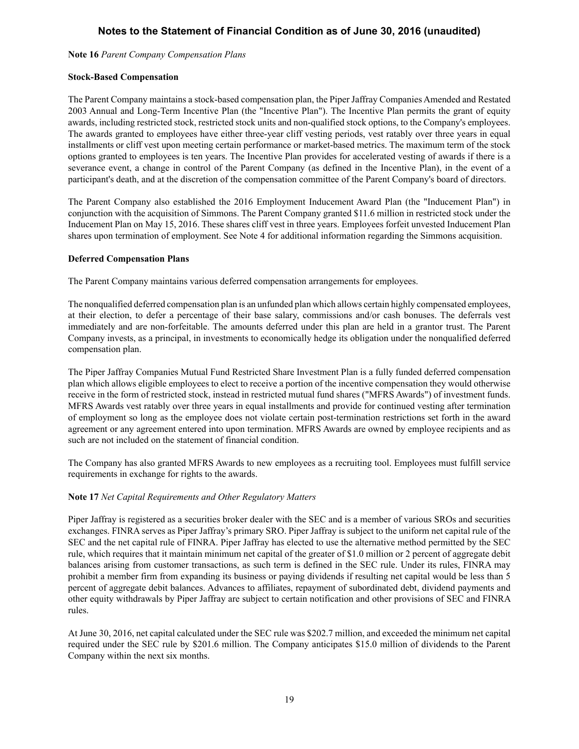**Note 16** *Parent Company Compensation Plans*

## **Stock-Based Compensation**

The Parent Company maintains a stock-based compensation plan, the Piper Jaffray Companies Amended and Restated 2003 Annual and Long-Term Incentive Plan (the "Incentive Plan"). The Incentive Plan permits the grant of equity awards, including restricted stock, restricted stock units and non-qualified stock options, to the Company's employees. The awards granted to employees have either three-year cliff vesting periods, vest ratably over three years in equal installments or cliff vest upon meeting certain performance or market-based metrics. The maximum term of the stock options granted to employees is ten years. The Incentive Plan provides for accelerated vesting of awards if there is a severance event, a change in control of the Parent Company (as defined in the Incentive Plan), in the event of a participant's death, and at the discretion of the compensation committee of the Parent Company's board of directors.

The Parent Company also established the 2016 Employment Inducement Award Plan (the "Inducement Plan") in conjunction with the acquisition of Simmons. The Parent Company granted \$11.6 million in restricted stock under the Inducement Plan on May 15, 2016. These shares cliff vest in three years. Employees forfeit unvested Inducement Plan shares upon termination of employment. See Note 4 for additional information regarding the Simmons acquisition.

## **Deferred Compensation Plans**

The Parent Company maintains various deferred compensation arrangements for employees.

The nonqualified deferred compensation plan is an unfunded plan which allows certain highly compensated employees, at their election, to defer a percentage of their base salary, commissions and/or cash bonuses. The deferrals vest immediately and are non-forfeitable. The amounts deferred under this plan are held in a grantor trust. The Parent Company invests, as a principal, in investments to economically hedge its obligation under the nonqualified deferred compensation plan.

The Piper Jaffray Companies Mutual Fund Restricted Share Investment Plan is a fully funded deferred compensation plan which allows eligible employees to elect to receive a portion of the incentive compensation they would otherwise receive in the form of restricted stock, instead in restricted mutual fund shares ("MFRS Awards") of investment funds. MFRS Awards vest ratably over three years in equal installments and provide for continued vesting after termination of employment so long as the employee does not violate certain post-termination restrictions set forth in the award agreement or any agreement entered into upon termination. MFRS Awards are owned by employee recipients and as such are not included on the statement of financial condition.

The Company has also granted MFRS Awards to new employees as a recruiting tool. Employees must fulfill service requirements in exchange for rights to the awards.

## **Note 17** *Net Capital Requirements and Other Regulatory Matters*

Piper Jaffray is registered as a securities broker dealer with the SEC and is a member of various SROs and securities exchanges. FINRA serves as Piper Jaffray's primary SRO. Piper Jaffray is subject to the uniform net capital rule of the SEC and the net capital rule of FINRA. Piper Jaffray has elected to use the alternative method permitted by the SEC rule, which requires that it maintain minimum net capital of the greater of \$1.0 million or 2 percent of aggregate debit balances arising from customer transactions, as such term is defined in the SEC rule. Under its rules, FINRA may prohibit a member firm from expanding its business or paying dividends if resulting net capital would be less than 5 percent of aggregate debit balances. Advances to affiliates, repayment of subordinated debt, dividend payments and other equity withdrawals by Piper Jaffray are subject to certain notification and other provisions of SEC and FINRA rules.

At June 30, 2016, net capital calculated under the SEC rule was \$202.7 million, and exceeded the minimum net capital required under the SEC rule by \$201.6 million. The Company anticipates \$15.0 million of dividends to the Parent Company within the next six months.